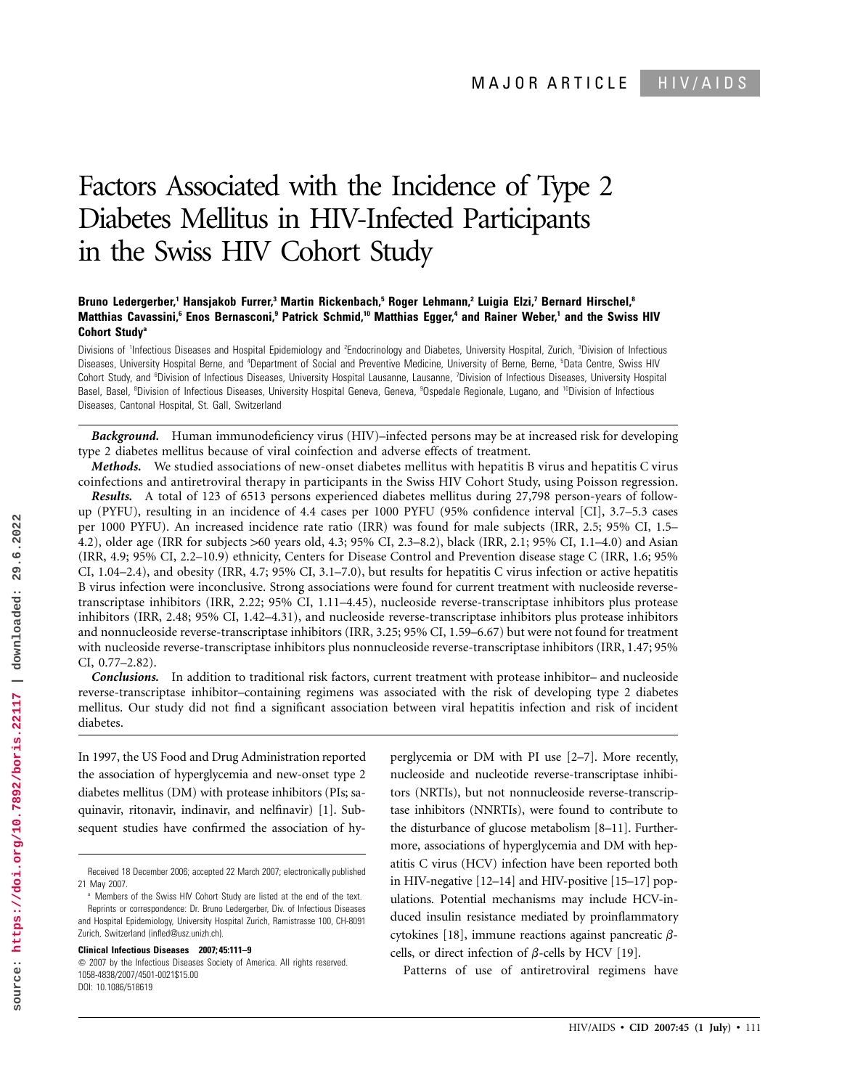# Factors Associated with the Incidence of Type 2 Diabetes Mellitus in HIV-Infected Participants in the Swiss HIV Cohort Study

# **Bruno Ledergerber,1 Hansjakob Furrer,3 Martin Rickenbach,5 Roger Lehmann,2 Luigia Elzi,7 Bernard Hirschel,8 Matthias Cavassini,6 Enos Bernasconi,9 Patrick Schmid,10 Matthias Egger,4 and Rainer Weber,1 and the Swiss HIV Cohort Studya**

Divisions of <sup>1</sup>Infectious Diseases and Hospital Epidemiology and <sup>2</sup>Endocrinology and Diabetes, University Hospital, Zurich, <sup>3</sup>Division of Infectious Diseases, University Hospital Berne, and <sup>4</sup>Department of Social and Preventive Medicine, University of Berne, Berne, <sup>5</sup>Data Centre, Swiss HIV Cohort Study, and <sup>6</sup>Division of Infectious Diseases, University Hospital Lausanne, Lausanne, 7Division of Infectious Diseases, University Hospital Basel, Basel, <sup>8</sup>Division of Infectious Diseases, University Hospital Geneva, Geneva, <sup>9</sup>Ospedale Regionale, Lugano, and <sup>10</sup>Division of Infectious Diseases, Cantonal Hospital, St. Gall, Switzerland

*Background.* Human immunodeficiency virus (HIV)–infected persons may be at increased risk for developing type 2 diabetes mellitus because of viral coinfection and adverse effects of treatment.

*Methods.* We studied associations of new-onset diabetes mellitus with hepatitis B virus and hepatitis C virus coinfections and antiretroviral therapy in participants in the Swiss HIV Cohort Study, using Poisson regression.

*Results.* A total of 123 of 6513 persons experienced diabetes mellitus during 27,798 person-years of followup (PYFU), resulting in an incidence of 4.4 cases per 1000 PYFU (95% confidence interval [CI], 3.7–5.3 cases per 1000 PYFU). An increased incidence rate ratio (IRR) was found for male subjects (IRR, 2.5; 95% CI, 1.5– 4.2), older age (IRR for subjects >60 years old, 4.3; 95% CI, 2.3–8.2), black (IRR, 2.1; 95% CI, 1.1–4.0) and Asian (IRR, 4.9; 95% CI, 2.2–10.9) ethnicity, Centers for Disease Control and Prevention disease stage C (IRR, 1.6; 95% CI, 1.04–2.4), and obesity (IRR, 4.7; 95% CI, 3.1–7.0), but results for hepatitis C virus infection or active hepatitis B virus infection were inconclusive. Strong associations were found for current treatment with nucleoside reversetranscriptase inhibitors (IRR, 2.22; 95% CI, 1.11–4.45), nucleoside reverse-transcriptase inhibitors plus protease inhibitors (IRR, 2.48; 95% CI, 1.42–4.31), and nucleoside reverse-transcriptase inhibitors plus protease inhibitors and nonnucleoside reverse-transcriptase inhibitors (IRR, 3.25; 95% CI, 1.59–6.67) but were not found for treatment with nucleoside reverse-transcriptase inhibitors plus nonnucleoside reverse-transcriptase inhibitors (IRR, 1.47; 95% CI, 0.77–2.82).

*Conclusions.* In addition to traditional risk factors, current treatment with protease inhibitor– and nucleoside reverse-transcriptase inhibitor–containing regimens was associated with the risk of developing type 2 diabetes mellitus. Our study did not find a significant association between viral hepatitis infection and risk of incident diabetes.

In 1997, the US Food and Drug Administration reported the association of hyperglycemia and new-onset type 2 diabetes mellitus (DM) with protease inhibitors (PIs; saquinavir, ritonavir, indinavir, and nelfinavir) [1]. Subsequent studies have confirmed the association of hy-

**Clinical Infectious Diseases 2007; 45:111–9**

 $\odot$  2007 by the Infectious Diseases Society of America. All rights reserved. 1058-4838/2007/4501-0021\$15.00 DOI: 10.1086/518619

perglycemia or DM with PI use [2–7]. More recently, nucleoside and nucleotide reverse-transcriptase inhibitors (NRTIs), but not nonnucleoside reverse-transcriptase inhibitors (NNRTIs), were found to contribute to the disturbance of glucose metabolism [8–11]. Furthermore, associations of hyperglycemia and DM with hepatitis C virus (HCV) infection have been reported both in HIV-negative [12–14] and HIV-positive [15–17] populations. Potential mechanisms may include HCV-induced insulin resistance mediated by proinflammatory cytokines [18], immune reactions against pancreatic  $\beta$ cells, or direct infection of  $\beta$ -cells by HCV [19].

Patterns of use of antiretroviral regimens have

Received 18 December 2006; accepted 22 March 2007; electronically published 21 May 2007.

<sup>&</sup>lt;sup>a</sup> Members of the Swiss HIV Cohort Study are listed at the end of the text. Reprints or correspondence: Dr. Bruno Ledergerber, Div. of Infectious Diseases and Hospital Epidemiology, University Hospital Zurich, Ramistrasse 100, CH-8091 Zurich, Switzerland (infled@usz.unizh.ch).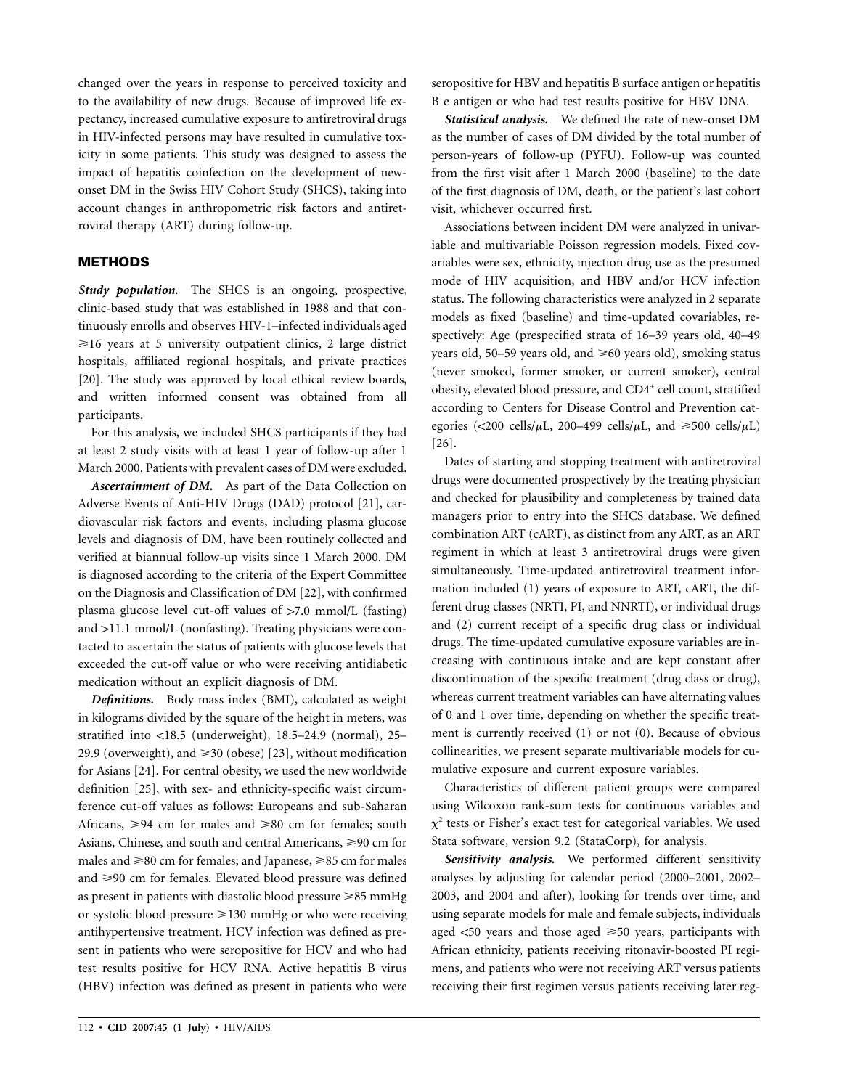changed over the years in response to perceived toxicity and to the availability of new drugs. Because of improved life expectancy, increased cumulative exposure to antiretroviral drugs in HIV-infected persons may have resulted in cumulative toxicity in some patients. This study was designed to assess the impact of hepatitis coinfection on the development of newonset DM in the Swiss HIV Cohort Study (SHCS), taking into account changes in anthropometric risk factors and antiretroviral therapy (ART) during follow-up.

# **METHODS**

*Study population.* The SHCS is an ongoing, prospective, clinic-based study that was established in 1988 and that continuously enrolls and observes HIV-1–infected individuals aged  $\geq 16$  years at 5 university outpatient clinics, 2 large district hospitals, affiliated regional hospitals, and private practices [20]. The study was approved by local ethical review boards, and written informed consent was obtained from all participants.

For this analysis, we included SHCS participants if they had at least 2 study visits with at least 1 year of follow-up after 1 March 2000. Patients with prevalent cases of DM were excluded.

*Ascertainment of DM.* As part of the Data Collection on Adverse Events of Anti-HIV Drugs (DAD) protocol [21], cardiovascular risk factors and events, including plasma glucose levels and diagnosis of DM, have been routinely collected and verified at biannual follow-up visits since 1 March 2000. DM is diagnosed according to the criteria of the Expert Committee on the Diagnosis and Classification of DM [22], with confirmed plasma glucose level cut-off values of  $>7.0$  mmol/L (fasting) and >11.1 mmol/L (nonfasting). Treating physicians were contacted to ascertain the status of patients with glucose levels that exceeded the cut-off value or who were receiving antidiabetic medication without an explicit diagnosis of DM.

*Definitions.* Body mass index (BMI), calculated as weight in kilograms divided by the square of the height in meters, was stratified into  $<18.5$  (underweight), 18.5–24.9 (normal), 25– 29.9 (overweight), and  $\geq 30$  (obese) [23], without modification for Asians [24]. For central obesity, we used the new worldwide definition [25], with sex- and ethnicity-specific waist circumference cut-off values as follows: Europeans and sub-Saharan Africans,  $\geq 94$  cm for males and  $\geq 80$  cm for females; south Asians, Chinese, and south and central Americans,  $\geq 90$  cm for males and  $\geq 80$  cm for females; and Japanese,  $\geq 85$  cm for males and  $\geq$ 90 cm for females. Elevated blood pressure was defined as present in patients with diastolic blood pressure  $\geq 85$  mmHg or systolic blood pressure  $\geq 130$  mmHg or who were receiving antihypertensive treatment. HCV infection was defined as present in patients who were seropositive for HCV and who had test results positive for HCV RNA. Active hepatitis B virus (HBV) infection was defined as present in patients who were seropositive for HBV and hepatitis B surface antigen or hepatitis B e antigen or who had test results positive for HBV DNA.

*Statistical analysis.* We defined the rate of new-onset DM as the number of cases of DM divided by the total number of person-years of follow-up (PYFU). Follow-up was counted from the first visit after 1 March 2000 (baseline) to the date of the first diagnosis of DM, death, or the patient's last cohort visit, whichever occurred first.

Associations between incident DM were analyzed in univariable and multivariable Poisson regression models. Fixed covariables were sex, ethnicity, injection drug use as the presumed mode of HIV acquisition, and HBV and/or HCV infection status. The following characteristics were analyzed in 2 separate models as fixed (baseline) and time-updated covariables, respectively: Age (prespecified strata of 16–39 years old, 40–49 years old, 50–59 years old, and  $\geq 60$  years old), smoking status (never smoked, former smoker, or current smoker), central obesity, elevated blood pressure, and CD4<sup>+</sup> cell count, stratified according to Centers for Disease Control and Prevention categories (<200 cells/ $\mu$ L, 200–499 cells/ $\mu$ L, and  $\geq 500$  cells/ $\mu$ L) [26].

Dates of starting and stopping treatment with antiretroviral drugs were documented prospectively by the treating physician and checked for plausibility and completeness by trained data managers prior to entry into the SHCS database. We defined combination ART (cART), as distinct from any ART, as an ART regiment in which at least 3 antiretroviral drugs were given simultaneously. Time-updated antiretroviral treatment information included (1) years of exposure to ART, cART, the different drug classes (NRTI, PI, and NNRTI), or individual drugs and (2) current receipt of a specific drug class or individual drugs. The time-updated cumulative exposure variables are increasing with continuous intake and are kept constant after discontinuation of the specific treatment (drug class or drug), whereas current treatment variables can have alternating values of 0 and 1 over time, depending on whether the specific treatment is currently received (1) or not (0). Because of obvious collinearities, we present separate multivariable models for cumulative exposure and current exposure variables.

Characteristics of different patient groups were compared using Wilcoxon rank-sum tests for continuous variables and  $\chi^2$  tests or Fisher's exact test for categorical variables. We used Stata software, version 9.2 (StataCorp), for analysis.

*Sensitivity analysis.* We performed different sensitivity analyses by adjusting for calendar period (2000–2001, 2002– 2003, and 2004 and after), looking for trends over time, and using separate models for male and female subjects, individuals aged  $\lt 50$  years and those aged  $\ge 50$  years, participants with African ethnicity, patients receiving ritonavir-boosted PI regimens, and patients who were not receiving ART versus patients receiving their first regimen versus patients receiving later reg-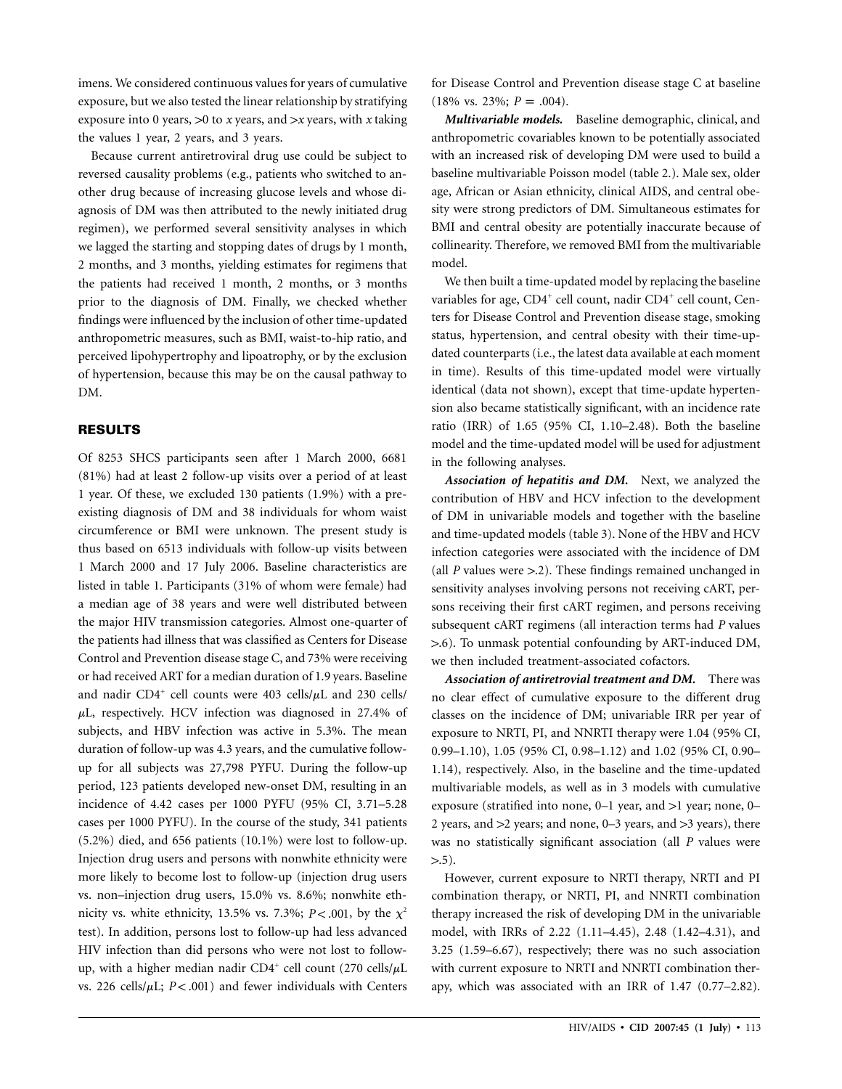imens. We considered continuous values for years of cumulative exposure, but we also tested the linear relationship by stratifying exposure into 0 years,  $>0$  to *x* years, and  $>x$  years, with *x* taking the values 1 year, 2 years, and 3 years.

Because current antiretroviral drug use could be subject to reversed causality problems (e.g., patients who switched to another drug because of increasing glucose levels and whose diagnosis of DM was then attributed to the newly initiated drug regimen), we performed several sensitivity analyses in which we lagged the starting and stopping dates of drugs by 1 month, 2 months, and 3 months, yielding estimates for regimens that the patients had received 1 month, 2 months, or 3 months prior to the diagnosis of DM. Finally, we checked whether findings were influenced by the inclusion of other time-updated anthropometric measures, such as BMI, waist-to-hip ratio, and perceived lipohypertrophy and lipoatrophy, or by the exclusion of hypertension, because this may be on the causal pathway to DM.

# **RESULTS**

Of 8253 SHCS participants seen after 1 March 2000, 6681 (81%) had at least 2 follow-up visits over a period of at least 1 year. Of these, we excluded 130 patients (1.9%) with a preexisting diagnosis of DM and 38 individuals for whom waist circumference or BMI were unknown. The present study is thus based on 6513 individuals with follow-up visits between 1 March 2000 and 17 July 2006. Baseline characteristics are listed in table 1. Participants (31% of whom were female) had a median age of 38 years and were well distributed between the major HIV transmission categories. Almost one-quarter of the patients had illness that was classified as Centers for Disease Control and Prevention disease stage C, and 73% were receiving or had received ART for a median duration of 1.9 years. Baseline and nadir CD4<sup>+</sup> cell counts were 403 cells/ $\mu$ L and 230 cells/  $\mu$ L, respectively. HCV infection was diagnosed in 27.4% of subjects, and HBV infection was active in 5.3%. The mean duration of follow-up was 4.3 years, and the cumulative followup for all subjects was 27,798 PYFU. During the follow-up period, 123 patients developed new-onset DM, resulting in an incidence of 4.42 cases per 1000 PYFU (95% CI, 3.71–5.28 cases per 1000 PYFU). In the course of the study, 341 patients (5.2%) died, and 656 patients (10.1%) were lost to follow-up. Injection drug users and persons with nonwhite ethnicity were more likely to become lost to follow-up (injection drug users vs. non–injection drug users, 15.0% vs. 8.6%; nonwhite ethnicity vs. white ethnicity, 13.5% vs. 7.3%;  $P < .001$ , by the  $\chi^2$ test). In addition, persons lost to follow-up had less advanced HIV infection than did persons who were not lost to followup, with a higher median nadir CD4<sup>+</sup> cell count (270 cells/ $\mu$ L vs. 226 cells/ $\mu$ L;  $P < .001$ ) and fewer individuals with Centers

for Disease Control and Prevention disease stage C at baseline  $(18\% \text{ vs. } 23\%; P = .004).$ 

*Multivariable models.* Baseline demographic, clinical, and anthropometric covariables known to be potentially associated with an increased risk of developing DM were used to build a baseline multivariable Poisson model (table 2.). Male sex, older age, African or Asian ethnicity, clinical AIDS, and central obesity were strong predictors of DM. Simultaneous estimates for BMI and central obesity are potentially inaccurate because of collinearity. Therefore, we removed BMI from the multivariable model.

We then built a time-updated model by replacing the baseline variables for age, CD4<sup>+</sup> cell count, nadir CD4<sup>+</sup> cell count, Centers for Disease Control and Prevention disease stage, smoking status, hypertension, and central obesity with their time-updated counterparts (i.e., the latest data available at each moment in time). Results of this time-updated model were virtually identical (data not shown), except that time-update hypertension also became statistically significant, with an incidence rate ratio (IRR) of 1.65 (95% CI, 1.10–2.48). Both the baseline model and the time-updated model will be used for adjustment in the following analyses.

*Association of hepatitis and DM.* Next, we analyzed the contribution of HBV and HCV infection to the development of DM in univariable models and together with the baseline and time-updated models (table 3). None of the HBV and HCV infection categories were associated with the incidence of DM (all  *values were*  $> 2$ *). These findings remained unchanged in* sensitivity analyses involving persons not receiving cART, persons receiving their first cART regimen, and persons receiving subsequent cART regimens (all interaction terms had *P* values 1.6). To unmask potential confounding by ART-induced DM, we then included treatment-associated cofactors.

*Association of antiretrovial treatment and DM.* There was no clear effect of cumulative exposure to the different drug classes on the incidence of DM; univariable IRR per year of exposure to NRTI, PI, and NNRTI therapy were 1.04 (95% CI, 0.99–1.10), 1.05 (95% CI, 0.98–1.12) and 1.02 (95% CI, 0.90– 1.14), respectively. Also, in the baseline and the time-updated multivariable models, as well as in 3 models with cumulative exposure (stratified into none,  $0-1$  year, and  $>1$  year; none,  $0-$ 2 years, and  $>$ 2 years; and none, 0–3 years, and  $>$ 3 years), there was no statistically significant association (all *P* values were  $> 0.5$ ).

However, current exposure to NRTI therapy, NRTI and PI combination therapy, or NRTI, PI, and NNRTI combination therapy increased the risk of developing DM in the univariable model, with IRRs of 2.22 (1.11–4.45), 2.48 (1.42–4.31), and 3.25 (1.59–6.67), respectively; there was no such association with current exposure to NRTI and NNRTI combination therapy, which was associated with an IRR of 1.47 (0.77–2.82).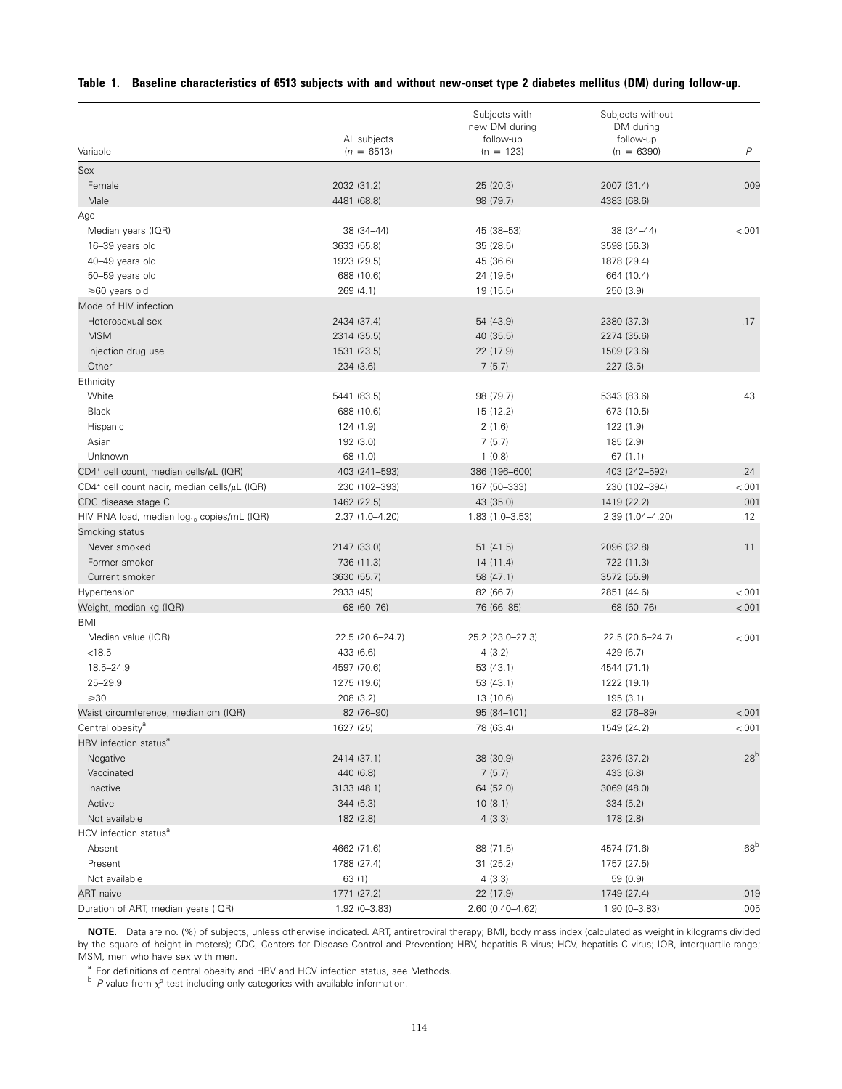|  |  |  | Table 1. Baseline characteristics of 6513 subjects with and without new-onset type 2 diabetes mellitus (DM) during follow-up. |  |
|--|--|--|-------------------------------------------------------------------------------------------------------------------------------|--|
|--|--|--|-------------------------------------------------------------------------------------------------------------------------------|--|

| $\boldsymbol{P}$<br>Variable<br>$(n = 6513)$<br>$(n = 123)$<br>$(n = 6390)$<br>Sex<br>Female<br>2032 (31.2)<br>25 (20.3)<br>2007 (31.4)<br>.009<br>Male<br>4481 (68.8)<br>98 (79.7)<br>4383 (68.6)<br>Age<br>Median years (IQR)<br>38 (34-44)<br>45 (38-53)<br>38 (34-44)<br>< 001<br>16-39 years old<br>3633 (55.8)<br>35 (28.5)<br>3598 (56.3)<br>40-49 years old<br>1923 (29.5)<br>45 (36.6)<br>1878 (29.4)<br>50-59 years old<br>688 (10.6)<br>24 (19.5)<br>664 (10.4)<br>≥60 years old<br>269(4.1)<br>19 (15.5)<br>250 (3.9)<br>Mode of HIV infection<br>.17<br>Heterosexual sex<br>2434 (37.4)<br>54 (43.9)<br>2380 (37.3)<br><b>MSM</b><br>2314 (35.5)<br>40 (35.5)<br>2274 (35.6)<br>1531 (23.5)<br>22 (17.9)<br>1509 (23.6)<br>Injection drug use<br>Other<br>234 (3.6)<br>7(5.7)<br>227 (3.5)<br>Ethnicity<br>5441 (83.5)<br>.43<br>White<br>98 (79.7)<br>5343 (83.6)<br><b>Black</b><br>688 (10.6)<br>15 (12.2)<br>673 (10.5)<br>Hispanic<br>124 (1.9)<br>2(1.6)<br>122 (1.9)<br>Asian<br>192 (3.0)<br>7(5.7)<br>185 (2.9)<br>Unknown<br>68 (1.0)<br>1(0.8)<br>67(1.1)<br>.24<br>$CD4^+$ cell count, median cells/ $\mu$ L (IQR)<br>403 (241-593)<br>386 (196-600)<br>403 (242-592)<br>< .001<br>$CD4^+$ cell count nadir, median cells/ $\mu$ L (IQR)<br>230 (102-393)<br>167 (50-333)<br>230 (102-394)<br>43 (35.0)<br>.001<br>CDC disease stage C<br>1462 (22.5)<br>1419 (22.2)<br>.12<br>2.37 (1.0-4.20)<br>$1.83(1.0 - 3.53)$<br>2.39 (1.04-4.20)<br>HIV RNA load, median log <sub>10</sub> copies/mL (IQR)<br>Smoking status<br>Never smoked<br>2147 (33.0)<br>51 (41.5)<br>2096 (32.8)<br>.11<br>Former smoker<br>736 (11.3)<br>14(11.4)<br>722 (11.3)<br>Current smoker<br>3630 (55.7)<br>58 (47.1)<br>3572 (55.9)<br>2933 (45)<br>< 001<br>Hypertension<br>82 (66.7)<br>2851 (44.6)<br>< .001<br>Weight, median kg (IQR)<br>68 (60-76)<br>76 (66-85)<br>68 (60-76)<br>BMI<br>Median value (IQR)<br>22.5 (20.6-24.7)<br>25.2 (23.0-27.3)<br>22.5 (20.6-24.7)<br>< 001<br>< 18.5<br>433 (6.6)<br>4(3.2)<br>429 (6.7)<br>18.5-24.9<br>4597 (70.6)<br>53 (43.1)<br>4544 (71.1)<br>$25 - 29.9$<br>1275 (19.6)<br>53 (43.1)<br>1222 (19.1)<br>$\geqslant$ 30<br>208 (3.2)<br>13 (10.6)<br>195(3.1)<br>< .001<br>Waist circumference, median cm (IQR)<br>82 (76-90)<br>95 (84-101)<br>82 (76-89)<br>Central obesity <sup>a</sup><br>1627 (25)<br>78 (63.4)<br>1549 (24.2)<br>< 001<br>HBV infection status <sup>a</sup><br>.28 <sup>b</sup><br>Negative<br>2414 (37.1)<br>38 (30.9)<br>2376 (37.2)<br>Vaccinated<br>440 (6.8)<br>7(5.7)<br>433 (6.8)<br>Inactive<br>3133 (48.1)<br>64 (52.0)<br>3069 (48.0)<br>Active<br>10(8.1)<br>344 (5.3)<br>334(5.2)<br>Not available<br>182 (2.8)<br>4(3.3)<br>178 (2.8)<br>HCV infection status <sup>a</sup><br>.68 <sup>b</sup><br>Absent<br>4662 (71.6)<br>88 (71.5)<br>4574 (71.6)<br>Present<br>1788 (27.4)<br>31(25.2)<br>1757 (27.5)<br>Not available<br>63 (1)<br>4(3.3)<br>59 (0.9)<br><b>ART</b> naive<br>.019<br>1771 (27.2)<br>22 (17.9)<br>1749 (27.4)<br>Duration of ART, median years (IQR)<br>$1.92(0 - 3.83)$<br>2.60 (0.40-4.62)<br>.005<br>$1.90(0 - 3.83)$ |              | Subjects with<br>new DM during | Subjects without<br>DM during |  |
|-----------------------------------------------------------------------------------------------------------------------------------------------------------------------------------------------------------------------------------------------------------------------------------------------------------------------------------------------------------------------------------------------------------------------------------------------------------------------------------------------------------------------------------------------------------------------------------------------------------------------------------------------------------------------------------------------------------------------------------------------------------------------------------------------------------------------------------------------------------------------------------------------------------------------------------------------------------------------------------------------------------------------------------------------------------------------------------------------------------------------------------------------------------------------------------------------------------------------------------------------------------------------------------------------------------------------------------------------------------------------------------------------------------------------------------------------------------------------------------------------------------------------------------------------------------------------------------------------------------------------------------------------------------------------------------------------------------------------------------------------------------------------------------------------------------------------------------------------------------------------------------------------------------------------------------------------------------------------------------------------------------------------------------------------------------------------------------------------------------------------------------------------------------------------------------------------------------------------------------------------------------------------------------------------------------------------------------------------------------------------------------------------------------------------------------------------------------------------------------------------------------------------------------------------------------------------------------------------------------------------------------------------------------------------------------------------------------------------------------------------------------------------------------------------------------------------------------------------------------------------------------------------------------------------------------------------------------------------------------------------------------------------------------------------------------------------------------------------------------------------------------|--------------|--------------------------------|-------------------------------|--|
|                                                                                                                                                                                                                                                                                                                                                                                                                                                                                                                                                                                                                                                                                                                                                                                                                                                                                                                                                                                                                                                                                                                                                                                                                                                                                                                                                                                                                                                                                                                                                                                                                                                                                                                                                                                                                                                                                                                                                                                                                                                                                                                                                                                                                                                                                                                                                                                                                                                                                                                                                                                                                                                                                                                                                                                                                                                                                                                                                                                                                                                                                                                                   | All subjects | follow-up                      | follow-up                     |  |
|                                                                                                                                                                                                                                                                                                                                                                                                                                                                                                                                                                                                                                                                                                                                                                                                                                                                                                                                                                                                                                                                                                                                                                                                                                                                                                                                                                                                                                                                                                                                                                                                                                                                                                                                                                                                                                                                                                                                                                                                                                                                                                                                                                                                                                                                                                                                                                                                                                                                                                                                                                                                                                                                                                                                                                                                                                                                                                                                                                                                                                                                                                                                   |              |                                |                               |  |
|                                                                                                                                                                                                                                                                                                                                                                                                                                                                                                                                                                                                                                                                                                                                                                                                                                                                                                                                                                                                                                                                                                                                                                                                                                                                                                                                                                                                                                                                                                                                                                                                                                                                                                                                                                                                                                                                                                                                                                                                                                                                                                                                                                                                                                                                                                                                                                                                                                                                                                                                                                                                                                                                                                                                                                                                                                                                                                                                                                                                                                                                                                                                   |              |                                |                               |  |
|                                                                                                                                                                                                                                                                                                                                                                                                                                                                                                                                                                                                                                                                                                                                                                                                                                                                                                                                                                                                                                                                                                                                                                                                                                                                                                                                                                                                                                                                                                                                                                                                                                                                                                                                                                                                                                                                                                                                                                                                                                                                                                                                                                                                                                                                                                                                                                                                                                                                                                                                                                                                                                                                                                                                                                                                                                                                                                                                                                                                                                                                                                                                   |              |                                |                               |  |
|                                                                                                                                                                                                                                                                                                                                                                                                                                                                                                                                                                                                                                                                                                                                                                                                                                                                                                                                                                                                                                                                                                                                                                                                                                                                                                                                                                                                                                                                                                                                                                                                                                                                                                                                                                                                                                                                                                                                                                                                                                                                                                                                                                                                                                                                                                                                                                                                                                                                                                                                                                                                                                                                                                                                                                                                                                                                                                                                                                                                                                                                                                                                   |              |                                |                               |  |
|                                                                                                                                                                                                                                                                                                                                                                                                                                                                                                                                                                                                                                                                                                                                                                                                                                                                                                                                                                                                                                                                                                                                                                                                                                                                                                                                                                                                                                                                                                                                                                                                                                                                                                                                                                                                                                                                                                                                                                                                                                                                                                                                                                                                                                                                                                                                                                                                                                                                                                                                                                                                                                                                                                                                                                                                                                                                                                                                                                                                                                                                                                                                   |              |                                |                               |  |
|                                                                                                                                                                                                                                                                                                                                                                                                                                                                                                                                                                                                                                                                                                                                                                                                                                                                                                                                                                                                                                                                                                                                                                                                                                                                                                                                                                                                                                                                                                                                                                                                                                                                                                                                                                                                                                                                                                                                                                                                                                                                                                                                                                                                                                                                                                                                                                                                                                                                                                                                                                                                                                                                                                                                                                                                                                                                                                                                                                                                                                                                                                                                   |              |                                |                               |  |
|                                                                                                                                                                                                                                                                                                                                                                                                                                                                                                                                                                                                                                                                                                                                                                                                                                                                                                                                                                                                                                                                                                                                                                                                                                                                                                                                                                                                                                                                                                                                                                                                                                                                                                                                                                                                                                                                                                                                                                                                                                                                                                                                                                                                                                                                                                                                                                                                                                                                                                                                                                                                                                                                                                                                                                                                                                                                                                                                                                                                                                                                                                                                   |              |                                |                               |  |
|                                                                                                                                                                                                                                                                                                                                                                                                                                                                                                                                                                                                                                                                                                                                                                                                                                                                                                                                                                                                                                                                                                                                                                                                                                                                                                                                                                                                                                                                                                                                                                                                                                                                                                                                                                                                                                                                                                                                                                                                                                                                                                                                                                                                                                                                                                                                                                                                                                                                                                                                                                                                                                                                                                                                                                                                                                                                                                                                                                                                                                                                                                                                   |              |                                |                               |  |
|                                                                                                                                                                                                                                                                                                                                                                                                                                                                                                                                                                                                                                                                                                                                                                                                                                                                                                                                                                                                                                                                                                                                                                                                                                                                                                                                                                                                                                                                                                                                                                                                                                                                                                                                                                                                                                                                                                                                                                                                                                                                                                                                                                                                                                                                                                                                                                                                                                                                                                                                                                                                                                                                                                                                                                                                                                                                                                                                                                                                                                                                                                                                   |              |                                |                               |  |
|                                                                                                                                                                                                                                                                                                                                                                                                                                                                                                                                                                                                                                                                                                                                                                                                                                                                                                                                                                                                                                                                                                                                                                                                                                                                                                                                                                                                                                                                                                                                                                                                                                                                                                                                                                                                                                                                                                                                                                                                                                                                                                                                                                                                                                                                                                                                                                                                                                                                                                                                                                                                                                                                                                                                                                                                                                                                                                                                                                                                                                                                                                                                   |              |                                |                               |  |
|                                                                                                                                                                                                                                                                                                                                                                                                                                                                                                                                                                                                                                                                                                                                                                                                                                                                                                                                                                                                                                                                                                                                                                                                                                                                                                                                                                                                                                                                                                                                                                                                                                                                                                                                                                                                                                                                                                                                                                                                                                                                                                                                                                                                                                                                                                                                                                                                                                                                                                                                                                                                                                                                                                                                                                                                                                                                                                                                                                                                                                                                                                                                   |              |                                |                               |  |
|                                                                                                                                                                                                                                                                                                                                                                                                                                                                                                                                                                                                                                                                                                                                                                                                                                                                                                                                                                                                                                                                                                                                                                                                                                                                                                                                                                                                                                                                                                                                                                                                                                                                                                                                                                                                                                                                                                                                                                                                                                                                                                                                                                                                                                                                                                                                                                                                                                                                                                                                                                                                                                                                                                                                                                                                                                                                                                                                                                                                                                                                                                                                   |              |                                |                               |  |
|                                                                                                                                                                                                                                                                                                                                                                                                                                                                                                                                                                                                                                                                                                                                                                                                                                                                                                                                                                                                                                                                                                                                                                                                                                                                                                                                                                                                                                                                                                                                                                                                                                                                                                                                                                                                                                                                                                                                                                                                                                                                                                                                                                                                                                                                                                                                                                                                                                                                                                                                                                                                                                                                                                                                                                                                                                                                                                                                                                                                                                                                                                                                   |              |                                |                               |  |
|                                                                                                                                                                                                                                                                                                                                                                                                                                                                                                                                                                                                                                                                                                                                                                                                                                                                                                                                                                                                                                                                                                                                                                                                                                                                                                                                                                                                                                                                                                                                                                                                                                                                                                                                                                                                                                                                                                                                                                                                                                                                                                                                                                                                                                                                                                                                                                                                                                                                                                                                                                                                                                                                                                                                                                                                                                                                                                                                                                                                                                                                                                                                   |              |                                |                               |  |
|                                                                                                                                                                                                                                                                                                                                                                                                                                                                                                                                                                                                                                                                                                                                                                                                                                                                                                                                                                                                                                                                                                                                                                                                                                                                                                                                                                                                                                                                                                                                                                                                                                                                                                                                                                                                                                                                                                                                                                                                                                                                                                                                                                                                                                                                                                                                                                                                                                                                                                                                                                                                                                                                                                                                                                                                                                                                                                                                                                                                                                                                                                                                   |              |                                |                               |  |
|                                                                                                                                                                                                                                                                                                                                                                                                                                                                                                                                                                                                                                                                                                                                                                                                                                                                                                                                                                                                                                                                                                                                                                                                                                                                                                                                                                                                                                                                                                                                                                                                                                                                                                                                                                                                                                                                                                                                                                                                                                                                                                                                                                                                                                                                                                                                                                                                                                                                                                                                                                                                                                                                                                                                                                                                                                                                                                                                                                                                                                                                                                                                   |              |                                |                               |  |
|                                                                                                                                                                                                                                                                                                                                                                                                                                                                                                                                                                                                                                                                                                                                                                                                                                                                                                                                                                                                                                                                                                                                                                                                                                                                                                                                                                                                                                                                                                                                                                                                                                                                                                                                                                                                                                                                                                                                                                                                                                                                                                                                                                                                                                                                                                                                                                                                                                                                                                                                                                                                                                                                                                                                                                                                                                                                                                                                                                                                                                                                                                                                   |              |                                |                               |  |
|                                                                                                                                                                                                                                                                                                                                                                                                                                                                                                                                                                                                                                                                                                                                                                                                                                                                                                                                                                                                                                                                                                                                                                                                                                                                                                                                                                                                                                                                                                                                                                                                                                                                                                                                                                                                                                                                                                                                                                                                                                                                                                                                                                                                                                                                                                                                                                                                                                                                                                                                                                                                                                                                                                                                                                                                                                                                                                                                                                                                                                                                                                                                   |              |                                |                               |  |
|                                                                                                                                                                                                                                                                                                                                                                                                                                                                                                                                                                                                                                                                                                                                                                                                                                                                                                                                                                                                                                                                                                                                                                                                                                                                                                                                                                                                                                                                                                                                                                                                                                                                                                                                                                                                                                                                                                                                                                                                                                                                                                                                                                                                                                                                                                                                                                                                                                                                                                                                                                                                                                                                                                                                                                                                                                                                                                                                                                                                                                                                                                                                   |              |                                |                               |  |
|                                                                                                                                                                                                                                                                                                                                                                                                                                                                                                                                                                                                                                                                                                                                                                                                                                                                                                                                                                                                                                                                                                                                                                                                                                                                                                                                                                                                                                                                                                                                                                                                                                                                                                                                                                                                                                                                                                                                                                                                                                                                                                                                                                                                                                                                                                                                                                                                                                                                                                                                                                                                                                                                                                                                                                                                                                                                                                                                                                                                                                                                                                                                   |              |                                |                               |  |
|                                                                                                                                                                                                                                                                                                                                                                                                                                                                                                                                                                                                                                                                                                                                                                                                                                                                                                                                                                                                                                                                                                                                                                                                                                                                                                                                                                                                                                                                                                                                                                                                                                                                                                                                                                                                                                                                                                                                                                                                                                                                                                                                                                                                                                                                                                                                                                                                                                                                                                                                                                                                                                                                                                                                                                                                                                                                                                                                                                                                                                                                                                                                   |              |                                |                               |  |
|                                                                                                                                                                                                                                                                                                                                                                                                                                                                                                                                                                                                                                                                                                                                                                                                                                                                                                                                                                                                                                                                                                                                                                                                                                                                                                                                                                                                                                                                                                                                                                                                                                                                                                                                                                                                                                                                                                                                                                                                                                                                                                                                                                                                                                                                                                                                                                                                                                                                                                                                                                                                                                                                                                                                                                                                                                                                                                                                                                                                                                                                                                                                   |              |                                |                               |  |
|                                                                                                                                                                                                                                                                                                                                                                                                                                                                                                                                                                                                                                                                                                                                                                                                                                                                                                                                                                                                                                                                                                                                                                                                                                                                                                                                                                                                                                                                                                                                                                                                                                                                                                                                                                                                                                                                                                                                                                                                                                                                                                                                                                                                                                                                                                                                                                                                                                                                                                                                                                                                                                                                                                                                                                                                                                                                                                                                                                                                                                                                                                                                   |              |                                |                               |  |
|                                                                                                                                                                                                                                                                                                                                                                                                                                                                                                                                                                                                                                                                                                                                                                                                                                                                                                                                                                                                                                                                                                                                                                                                                                                                                                                                                                                                                                                                                                                                                                                                                                                                                                                                                                                                                                                                                                                                                                                                                                                                                                                                                                                                                                                                                                                                                                                                                                                                                                                                                                                                                                                                                                                                                                                                                                                                                                                                                                                                                                                                                                                                   |              |                                |                               |  |
|                                                                                                                                                                                                                                                                                                                                                                                                                                                                                                                                                                                                                                                                                                                                                                                                                                                                                                                                                                                                                                                                                                                                                                                                                                                                                                                                                                                                                                                                                                                                                                                                                                                                                                                                                                                                                                                                                                                                                                                                                                                                                                                                                                                                                                                                                                                                                                                                                                                                                                                                                                                                                                                                                                                                                                                                                                                                                                                                                                                                                                                                                                                                   |              |                                |                               |  |
|                                                                                                                                                                                                                                                                                                                                                                                                                                                                                                                                                                                                                                                                                                                                                                                                                                                                                                                                                                                                                                                                                                                                                                                                                                                                                                                                                                                                                                                                                                                                                                                                                                                                                                                                                                                                                                                                                                                                                                                                                                                                                                                                                                                                                                                                                                                                                                                                                                                                                                                                                                                                                                                                                                                                                                                                                                                                                                                                                                                                                                                                                                                                   |              |                                |                               |  |
|                                                                                                                                                                                                                                                                                                                                                                                                                                                                                                                                                                                                                                                                                                                                                                                                                                                                                                                                                                                                                                                                                                                                                                                                                                                                                                                                                                                                                                                                                                                                                                                                                                                                                                                                                                                                                                                                                                                                                                                                                                                                                                                                                                                                                                                                                                                                                                                                                                                                                                                                                                                                                                                                                                                                                                                                                                                                                                                                                                                                                                                                                                                                   |              |                                |                               |  |
|                                                                                                                                                                                                                                                                                                                                                                                                                                                                                                                                                                                                                                                                                                                                                                                                                                                                                                                                                                                                                                                                                                                                                                                                                                                                                                                                                                                                                                                                                                                                                                                                                                                                                                                                                                                                                                                                                                                                                                                                                                                                                                                                                                                                                                                                                                                                                                                                                                                                                                                                                                                                                                                                                                                                                                                                                                                                                                                                                                                                                                                                                                                                   |              |                                |                               |  |
|                                                                                                                                                                                                                                                                                                                                                                                                                                                                                                                                                                                                                                                                                                                                                                                                                                                                                                                                                                                                                                                                                                                                                                                                                                                                                                                                                                                                                                                                                                                                                                                                                                                                                                                                                                                                                                                                                                                                                                                                                                                                                                                                                                                                                                                                                                                                                                                                                                                                                                                                                                                                                                                                                                                                                                                                                                                                                                                                                                                                                                                                                                                                   |              |                                |                               |  |
|                                                                                                                                                                                                                                                                                                                                                                                                                                                                                                                                                                                                                                                                                                                                                                                                                                                                                                                                                                                                                                                                                                                                                                                                                                                                                                                                                                                                                                                                                                                                                                                                                                                                                                                                                                                                                                                                                                                                                                                                                                                                                                                                                                                                                                                                                                                                                                                                                                                                                                                                                                                                                                                                                                                                                                                                                                                                                                                                                                                                                                                                                                                                   |              |                                |                               |  |
|                                                                                                                                                                                                                                                                                                                                                                                                                                                                                                                                                                                                                                                                                                                                                                                                                                                                                                                                                                                                                                                                                                                                                                                                                                                                                                                                                                                                                                                                                                                                                                                                                                                                                                                                                                                                                                                                                                                                                                                                                                                                                                                                                                                                                                                                                                                                                                                                                                                                                                                                                                                                                                                                                                                                                                                                                                                                                                                                                                                                                                                                                                                                   |              |                                |                               |  |
|                                                                                                                                                                                                                                                                                                                                                                                                                                                                                                                                                                                                                                                                                                                                                                                                                                                                                                                                                                                                                                                                                                                                                                                                                                                                                                                                                                                                                                                                                                                                                                                                                                                                                                                                                                                                                                                                                                                                                                                                                                                                                                                                                                                                                                                                                                                                                                                                                                                                                                                                                                                                                                                                                                                                                                                                                                                                                                                                                                                                                                                                                                                                   |              |                                |                               |  |
|                                                                                                                                                                                                                                                                                                                                                                                                                                                                                                                                                                                                                                                                                                                                                                                                                                                                                                                                                                                                                                                                                                                                                                                                                                                                                                                                                                                                                                                                                                                                                                                                                                                                                                                                                                                                                                                                                                                                                                                                                                                                                                                                                                                                                                                                                                                                                                                                                                                                                                                                                                                                                                                                                                                                                                                                                                                                                                                                                                                                                                                                                                                                   |              |                                |                               |  |
|                                                                                                                                                                                                                                                                                                                                                                                                                                                                                                                                                                                                                                                                                                                                                                                                                                                                                                                                                                                                                                                                                                                                                                                                                                                                                                                                                                                                                                                                                                                                                                                                                                                                                                                                                                                                                                                                                                                                                                                                                                                                                                                                                                                                                                                                                                                                                                                                                                                                                                                                                                                                                                                                                                                                                                                                                                                                                                                                                                                                                                                                                                                                   |              |                                |                               |  |
|                                                                                                                                                                                                                                                                                                                                                                                                                                                                                                                                                                                                                                                                                                                                                                                                                                                                                                                                                                                                                                                                                                                                                                                                                                                                                                                                                                                                                                                                                                                                                                                                                                                                                                                                                                                                                                                                                                                                                                                                                                                                                                                                                                                                                                                                                                                                                                                                                                                                                                                                                                                                                                                                                                                                                                                                                                                                                                                                                                                                                                                                                                                                   |              |                                |                               |  |
|                                                                                                                                                                                                                                                                                                                                                                                                                                                                                                                                                                                                                                                                                                                                                                                                                                                                                                                                                                                                                                                                                                                                                                                                                                                                                                                                                                                                                                                                                                                                                                                                                                                                                                                                                                                                                                                                                                                                                                                                                                                                                                                                                                                                                                                                                                                                                                                                                                                                                                                                                                                                                                                                                                                                                                                                                                                                                                                                                                                                                                                                                                                                   |              |                                |                               |  |
|                                                                                                                                                                                                                                                                                                                                                                                                                                                                                                                                                                                                                                                                                                                                                                                                                                                                                                                                                                                                                                                                                                                                                                                                                                                                                                                                                                                                                                                                                                                                                                                                                                                                                                                                                                                                                                                                                                                                                                                                                                                                                                                                                                                                                                                                                                                                                                                                                                                                                                                                                                                                                                                                                                                                                                                                                                                                                                                                                                                                                                                                                                                                   |              |                                |                               |  |
|                                                                                                                                                                                                                                                                                                                                                                                                                                                                                                                                                                                                                                                                                                                                                                                                                                                                                                                                                                                                                                                                                                                                                                                                                                                                                                                                                                                                                                                                                                                                                                                                                                                                                                                                                                                                                                                                                                                                                                                                                                                                                                                                                                                                                                                                                                                                                                                                                                                                                                                                                                                                                                                                                                                                                                                                                                                                                                                                                                                                                                                                                                                                   |              |                                |                               |  |
|                                                                                                                                                                                                                                                                                                                                                                                                                                                                                                                                                                                                                                                                                                                                                                                                                                                                                                                                                                                                                                                                                                                                                                                                                                                                                                                                                                                                                                                                                                                                                                                                                                                                                                                                                                                                                                                                                                                                                                                                                                                                                                                                                                                                                                                                                                                                                                                                                                                                                                                                                                                                                                                                                                                                                                                                                                                                                                                                                                                                                                                                                                                                   |              |                                |                               |  |
|                                                                                                                                                                                                                                                                                                                                                                                                                                                                                                                                                                                                                                                                                                                                                                                                                                                                                                                                                                                                                                                                                                                                                                                                                                                                                                                                                                                                                                                                                                                                                                                                                                                                                                                                                                                                                                                                                                                                                                                                                                                                                                                                                                                                                                                                                                                                                                                                                                                                                                                                                                                                                                                                                                                                                                                                                                                                                                                                                                                                                                                                                                                                   |              |                                |                               |  |
|                                                                                                                                                                                                                                                                                                                                                                                                                                                                                                                                                                                                                                                                                                                                                                                                                                                                                                                                                                                                                                                                                                                                                                                                                                                                                                                                                                                                                                                                                                                                                                                                                                                                                                                                                                                                                                                                                                                                                                                                                                                                                                                                                                                                                                                                                                                                                                                                                                                                                                                                                                                                                                                                                                                                                                                                                                                                                                                                                                                                                                                                                                                                   |              |                                |                               |  |
|                                                                                                                                                                                                                                                                                                                                                                                                                                                                                                                                                                                                                                                                                                                                                                                                                                                                                                                                                                                                                                                                                                                                                                                                                                                                                                                                                                                                                                                                                                                                                                                                                                                                                                                                                                                                                                                                                                                                                                                                                                                                                                                                                                                                                                                                                                                                                                                                                                                                                                                                                                                                                                                                                                                                                                                                                                                                                                                                                                                                                                                                                                                                   |              |                                |                               |  |
|                                                                                                                                                                                                                                                                                                                                                                                                                                                                                                                                                                                                                                                                                                                                                                                                                                                                                                                                                                                                                                                                                                                                                                                                                                                                                                                                                                                                                                                                                                                                                                                                                                                                                                                                                                                                                                                                                                                                                                                                                                                                                                                                                                                                                                                                                                                                                                                                                                                                                                                                                                                                                                                                                                                                                                                                                                                                                                                                                                                                                                                                                                                                   |              |                                |                               |  |
|                                                                                                                                                                                                                                                                                                                                                                                                                                                                                                                                                                                                                                                                                                                                                                                                                                                                                                                                                                                                                                                                                                                                                                                                                                                                                                                                                                                                                                                                                                                                                                                                                                                                                                                                                                                                                                                                                                                                                                                                                                                                                                                                                                                                                                                                                                                                                                                                                                                                                                                                                                                                                                                                                                                                                                                                                                                                                                                                                                                                                                                                                                                                   |              |                                |                               |  |
|                                                                                                                                                                                                                                                                                                                                                                                                                                                                                                                                                                                                                                                                                                                                                                                                                                                                                                                                                                                                                                                                                                                                                                                                                                                                                                                                                                                                                                                                                                                                                                                                                                                                                                                                                                                                                                                                                                                                                                                                                                                                                                                                                                                                                                                                                                                                                                                                                                                                                                                                                                                                                                                                                                                                                                                                                                                                                                                                                                                                                                                                                                                                   |              |                                |                               |  |
|                                                                                                                                                                                                                                                                                                                                                                                                                                                                                                                                                                                                                                                                                                                                                                                                                                                                                                                                                                                                                                                                                                                                                                                                                                                                                                                                                                                                                                                                                                                                                                                                                                                                                                                                                                                                                                                                                                                                                                                                                                                                                                                                                                                                                                                                                                                                                                                                                                                                                                                                                                                                                                                                                                                                                                                                                                                                                                                                                                                                                                                                                                                                   |              |                                |                               |  |
|                                                                                                                                                                                                                                                                                                                                                                                                                                                                                                                                                                                                                                                                                                                                                                                                                                                                                                                                                                                                                                                                                                                                                                                                                                                                                                                                                                                                                                                                                                                                                                                                                                                                                                                                                                                                                                                                                                                                                                                                                                                                                                                                                                                                                                                                                                                                                                                                                                                                                                                                                                                                                                                                                                                                                                                                                                                                                                                                                                                                                                                                                                                                   |              |                                |                               |  |
|                                                                                                                                                                                                                                                                                                                                                                                                                                                                                                                                                                                                                                                                                                                                                                                                                                                                                                                                                                                                                                                                                                                                                                                                                                                                                                                                                                                                                                                                                                                                                                                                                                                                                                                                                                                                                                                                                                                                                                                                                                                                                                                                                                                                                                                                                                                                                                                                                                                                                                                                                                                                                                                                                                                                                                                                                                                                                                                                                                                                                                                                                                                                   |              |                                |                               |  |
|                                                                                                                                                                                                                                                                                                                                                                                                                                                                                                                                                                                                                                                                                                                                                                                                                                                                                                                                                                                                                                                                                                                                                                                                                                                                                                                                                                                                                                                                                                                                                                                                                                                                                                                                                                                                                                                                                                                                                                                                                                                                                                                                                                                                                                                                                                                                                                                                                                                                                                                                                                                                                                                                                                                                                                                                                                                                                                                                                                                                                                                                                                                                   |              |                                |                               |  |

**NOTE.** Data are no. (%) of subjects, unless otherwise indicated. ART, antiretroviral therapy; BMI, body mass index (calculated as weight in kilograms divided by the square of height in meters); CDC, Centers for Disease Control and Prevention; HBV, hepatitis B virus; HCV, hepatitis C virus; IQR, interquartile range; MSM, men who have sex with men.

<sup>a</sup> For definitions of central obesity and HBV and HCV infection status, see Methods.<br><sup>b</sup> *P* value from  $x^2$  test including only categories with available information.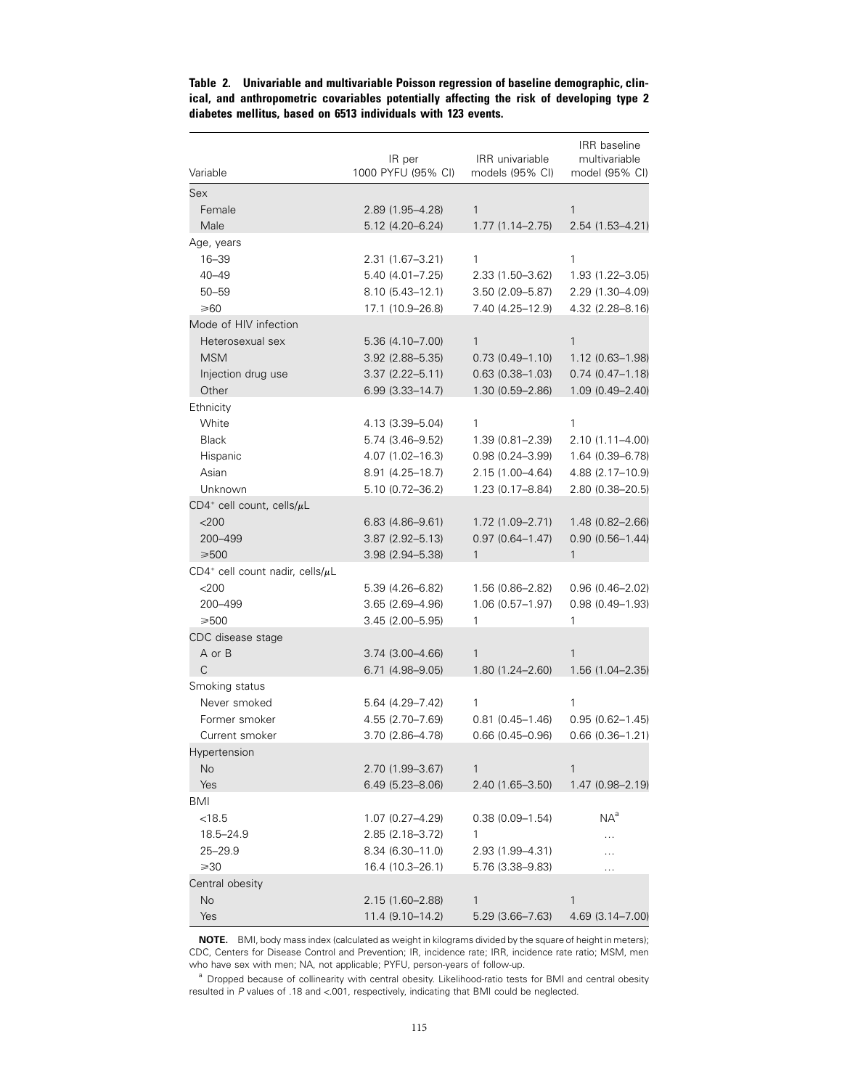| Variable                                          | IR per<br>1000 PYFU (95% CI) | IRR univariable<br>models (95% CI) | IRR baseline<br>multivariable<br>model (95% CI) |
|---------------------------------------------------|------------------------------|------------------------------------|-------------------------------------------------|
| Sex                                               |                              |                                    |                                                 |
| Female                                            | 2.89 (1.95-4.28)             | $\mathbf{1}$                       | $\mathbf{1}$                                    |
| Male                                              | 5.12 (4.20-6.24)             | $1.77(1.14 - 2.75)$                | 2.54 (1.53–4.21)                                |
| Age, years                                        |                              |                                    |                                                 |
| $16 - 39$                                         | 2.31 (1.67-3.21)             | 1                                  | 1                                               |
| $40 - 49$                                         | 5.40 (4.01-7.25)             | 2.33 (1.50-3.62)                   | $1.93(1.22 - 3.05)$                             |
| $50 - 59$                                         | $8.10(5.43 - 12.1)$          | 3.50 (2.09-5.87)                   | 2.29 (1.30–4.09)                                |
| ≥60                                               | 17.1 (10.9–26.8)             | 7.40 (4.25–12.9)                   | 4.32 (2.28–8.16)                                |
| Mode of HIV infection                             |                              |                                    |                                                 |
| Heterosexual sex                                  | 5.36 (4.10-7.00)             | $\mathbf{1}$                       | 1                                               |
| <b>MSM</b>                                        | $3.92$ $(2.88 - 5.35)$       | $0.73(0.49 - 1.10)$                | 1.12 (0.63-1.98)                                |
| Injection drug use                                | $3.37(2.22 - 5.11)$          | $0.63(0.38 - 1.03)$                | $0.74(0.47 - 1.18)$                             |
| Other                                             | $6.99(3.33 - 14.7)$          | 1.30 (0.59-2.86)                   | 1.09 (0.49-2.40)                                |
| Ethnicity                                         |                              |                                    |                                                 |
| White                                             | 4.13 (3.39 - 5.04)           | 1                                  | 1                                               |
| <b>Black</b>                                      | 5.74 (3.46-9.52)             | 1.39 (0.81-2.39)                   | 2.10 (1.11-4.00)                                |
| Hispanic                                          | 4.07 (1.02-16.3)             | $0.98(0.24 - 3.99)$                | 1.64 (0.39-6.78)                                |
| Asian                                             | $8.91(4.25 - 18.7)$          | 2.15 (1.00-4.64)                   | 4.88 (2.17-10.9)                                |
| Unknown                                           | 5.10 (0.72-36.2)             | 1.23 (0.17-8.84)                   | 2.80 (0.38-20.5)                                |
| $CD4^+$ cell count, cells/ $\mu$ L                |                              |                                    |                                                 |
| $<$ 200                                           | $6.83(4.86 - 9.61)$          | 1.72 (1.09-2.71)                   | 1.48 (0.82-2.66)                                |
| 200-499                                           | $3.87(2.92 - 5.13)$          | $0.97(0.64 - 1.47)$                | $0.90(0.56 - 1.44)$                             |
| $≥500$                                            | $3.98(2.94 - 5.38)$          | 1                                  | 1                                               |
| CD4 <sup>+</sup> cell count nadir, cells/ $\mu$ L |                              |                                    |                                                 |
| $<$ 200                                           | 5.39 (4.26-6.82)             | 1.56 (0.86-2.82)                   | $0.96(0.46 - 2.02)$                             |
| 200-499                                           | $3.65(2.69 - 4.96)$          | $1.06(0.57 - 1.97)$                | $0.98(0.49 - 1.93)$                             |
| $\geq 500$                                        | 3.45 (2.00–5.95)             | 1                                  | 1                                               |
| CDC disease stage                                 |                              |                                    |                                                 |
| A or B                                            | 3.74 (3.00-4.66)             | 1                                  | 1                                               |
| C                                                 | 6.71 (4.98-9.05)             | 1.80 (1.24-2.60)                   | 1.56 (1.04-2.35)                                |
| Smoking status                                    |                              |                                    |                                                 |
| Never smoked                                      | 5.64 (4.29–7.42)             | 1                                  | 1                                               |
| Former smoker                                     | 4.55 (2.70-7.69)             | $0.81(0.45 - 1.46)$                | $0.95(0.62 - 1.45)$                             |
| Current smoker                                    | 3.70 (2.86-4.78)             | $0.66(0.45 - 0.96)$                | $0.66(0.36 - 1.21)$                             |
| Hypertension                                      |                              |                                    |                                                 |
| No                                                | 2.70 (1.99-3.67)             | 1                                  | 1                                               |
| Yes                                               | $6.49(5.23 - 8.06)$          | 2.40 (1.65-3.50)                   | $1.47(0.98 - 2.19)$                             |
| BMI                                               |                              |                                    |                                                 |
| < 18.5                                            | $1.07(0.27 - 4.29)$          | $0.38(0.09 - 1.54)$                | $NA^a$                                          |
| 18.5-24.9                                         | 2.85 (2.18–3.72)             | 1                                  |                                                 |
| $25 - 29.9$                                       | $8.34(6.30-11.0)$            | 2.93 (1.99-4.31)                   |                                                 |
| $\geqslant$ 30                                    | 16.4 (10.3-26.1)             | 5.76 (3.38–9.83)                   | $\cdots$                                        |
| Central obesity                                   |                              |                                    |                                                 |
| No                                                | 2.15 (1.60-2.88)             | 1                                  | 1                                               |
| Yes                                               | 11.4 (9.10-14.2)             | $5.29(3.66 - 7.63)$                | 4.69 (3.14-7.00)                                |

**Table 2. Univariable and multivariable Poisson regression of baseline demographic, clinical, and anthropometric covariables potentially affecting the risk of developing type 2 diabetes mellitus, based on 6513 individuals with 123 events.**

**NOTE.** BMI, body mass index (calculated as weight in kilograms divided by the square of height in meters); CDC, Centers for Disease Control and Prevention; IR, incidence rate; IRR, incidence rate ratio; MSM, men who have sex with men; NA, not applicable; PYFU, person-years of follow-up.

a Dropped because of collinearity with central obesity. Likelihood-ratio tests for BMI and central obesity resulted in *P* values of .18 and <.001, respectively, indicating that BMI could be neglected.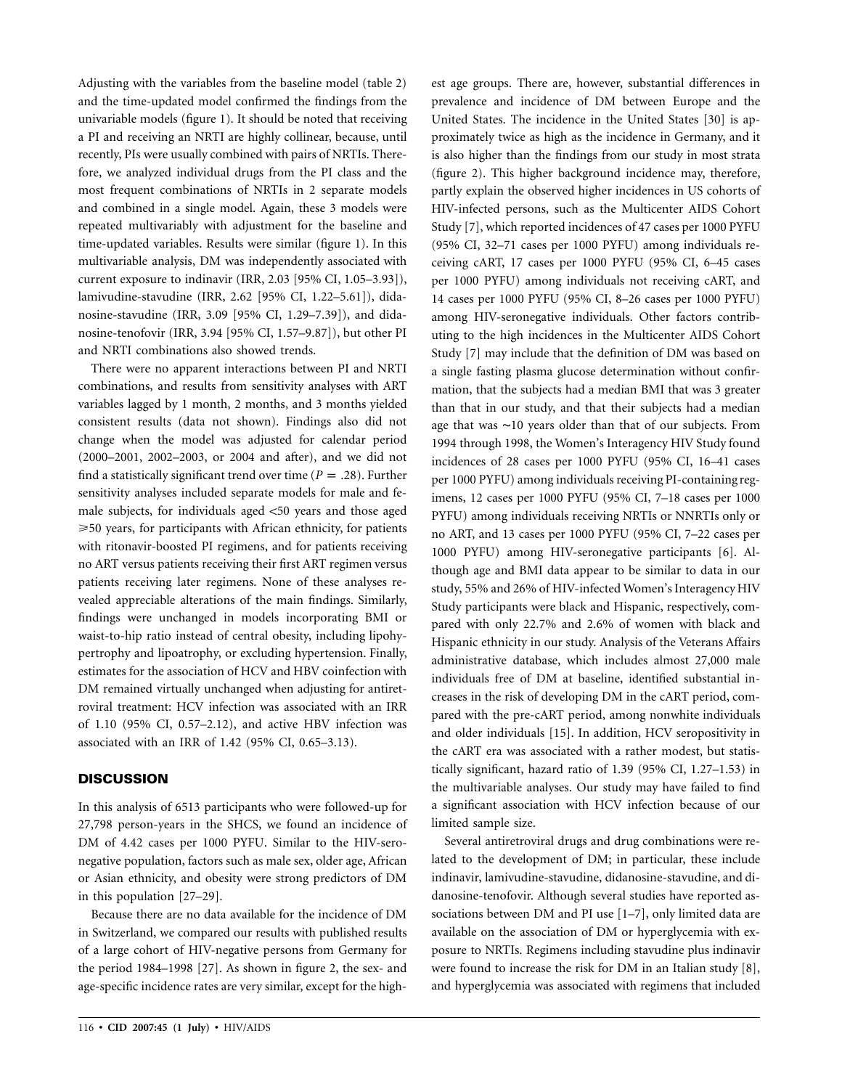Adjusting with the variables from the baseline model (table 2) and the time-updated model confirmed the findings from the univariable models (figure 1). It should be noted that receiving a PI and receiving an NRTI are highly collinear, because, until recently, PIs were usually combined with pairs of NRTIs. Therefore, we analyzed individual drugs from the PI class and the most frequent combinations of NRTIs in 2 separate models and combined in a single model. Again, these 3 models were repeated multivariably with adjustment for the baseline and time-updated variables. Results were similar (figure 1). In this multivariable analysis, DM was independently associated with current exposure to indinavir (IRR, 2.03 [95% CI, 1.05–3.93]), lamivudine-stavudine (IRR, 2.62 [95% CI, 1.22–5.61]), didanosine-stavudine (IRR, 3.09 [95% CI, 1.29–7.39]), and didanosine-tenofovir (IRR, 3.94 [95% CI, 1.57–9.87]), but other PI and NRTI combinations also showed trends.

There were no apparent interactions between PI and NRTI combinations, and results from sensitivity analyses with ART variables lagged by 1 month, 2 months, and 3 months yielded consistent results (data not shown). Findings also did not change when the model was adjusted for calendar period (2000–2001, 2002–2003, or 2004 and after), and we did not find a statistically significant trend over time ( $P = .28$ ). Further sensitivity analyses included separate models for male and female subjects, for individuals aged  $<$  50 years and those aged 50 years, for participants with African ethnicity, for patients with ritonavir-boosted PI regimens, and for patients receiving no ART versus patients receiving their first ART regimen versus patients receiving later regimens. None of these analyses revealed appreciable alterations of the main findings. Similarly, findings were unchanged in models incorporating BMI or waist-to-hip ratio instead of central obesity, including lipohypertrophy and lipoatrophy, or excluding hypertension. Finally, estimates for the association of HCV and HBV coinfection with DM remained virtually unchanged when adjusting for antiretroviral treatment: HCV infection was associated with an IRR of 1.10 (95% CI, 0.57–2.12), and active HBV infection was associated with an IRR of 1.42 (95% CI, 0.65–3.13).

# **DISCUSSION**

In this analysis of 6513 participants who were followed-up for 27,798 person-years in the SHCS, we found an incidence of DM of 4.42 cases per 1000 PYFU. Similar to the HIV-seronegative population, factors such as male sex, older age, African or Asian ethnicity, and obesity were strong predictors of DM in this population [27–29].

Because there are no data available for the incidence of DM in Switzerland, we compared our results with published results of a large cohort of HIV-negative persons from Germany for the period 1984–1998 [27]. As shown in figure 2, the sex- and age-specific incidence rates are very similar, except for the highest age groups. There are, however, substantial differences in prevalence and incidence of DM between Europe and the United States. The incidence in the United States [30] is approximately twice as high as the incidence in Germany, and it is also higher than the findings from our study in most strata (figure 2). This higher background incidence may, therefore, partly explain the observed higher incidences in US cohorts of HIV-infected persons, such as the Multicenter AIDS Cohort Study [7], which reported incidences of 47 cases per 1000 PYFU (95% CI, 32–71 cases per 1000 PYFU) among individuals receiving cART, 17 cases per 1000 PYFU (95% CI, 6–45 cases per 1000 PYFU) among individuals not receiving cART, and 14 cases per 1000 PYFU (95% CI, 8–26 cases per 1000 PYFU) among HIV-seronegative individuals. Other factors contributing to the high incidences in the Multicenter AIDS Cohort Study [7] may include that the definition of DM was based on a single fasting plasma glucose determination without confirmation, that the subjects had a median BMI that was 3 greater than that in our study, and that their subjects had a median age that was ∼10 years older than that of our subjects. From 1994 through 1998, the Women's Interagency HIV Study found incidences of 28 cases per 1000 PYFU (95% CI, 16–41 cases per 1000 PYFU) among individuals receiving PI-containing regimens, 12 cases per 1000 PYFU (95% CI, 7–18 cases per 1000 PYFU) among individuals receiving NRTIs or NNRTIs only or no ART, and 13 cases per 1000 PYFU (95% CI, 7–22 cases per 1000 PYFU) among HIV-seronegative participants [6]. Although age and BMI data appear to be similar to data in our study, 55% and 26% of HIV-infected Women's Interagency HIV Study participants were black and Hispanic, respectively, compared with only 22.7% and 2.6% of women with black and Hispanic ethnicity in our study. Analysis of the Veterans Affairs administrative database, which includes almost 27,000 male individuals free of DM at baseline, identified substantial increases in the risk of developing DM in the cART period, compared with the pre-cART period, among nonwhite individuals and older individuals [15]. In addition, HCV seropositivity in the cART era was associated with a rather modest, but statistically significant, hazard ratio of 1.39 (95% CI, 1.27–1.53) in the multivariable analyses. Our study may have failed to find a significant association with HCV infection because of our limited sample size.

Several antiretroviral drugs and drug combinations were related to the development of DM; in particular, these include indinavir, lamivudine-stavudine, didanosine-stavudine, and didanosine-tenofovir. Although several studies have reported associations between DM and PI use [1–7], only limited data are available on the association of DM or hyperglycemia with exposure to NRTIs. Regimens including stavudine plus indinavir were found to increase the risk for DM in an Italian study [8], and hyperglycemia was associated with regimens that included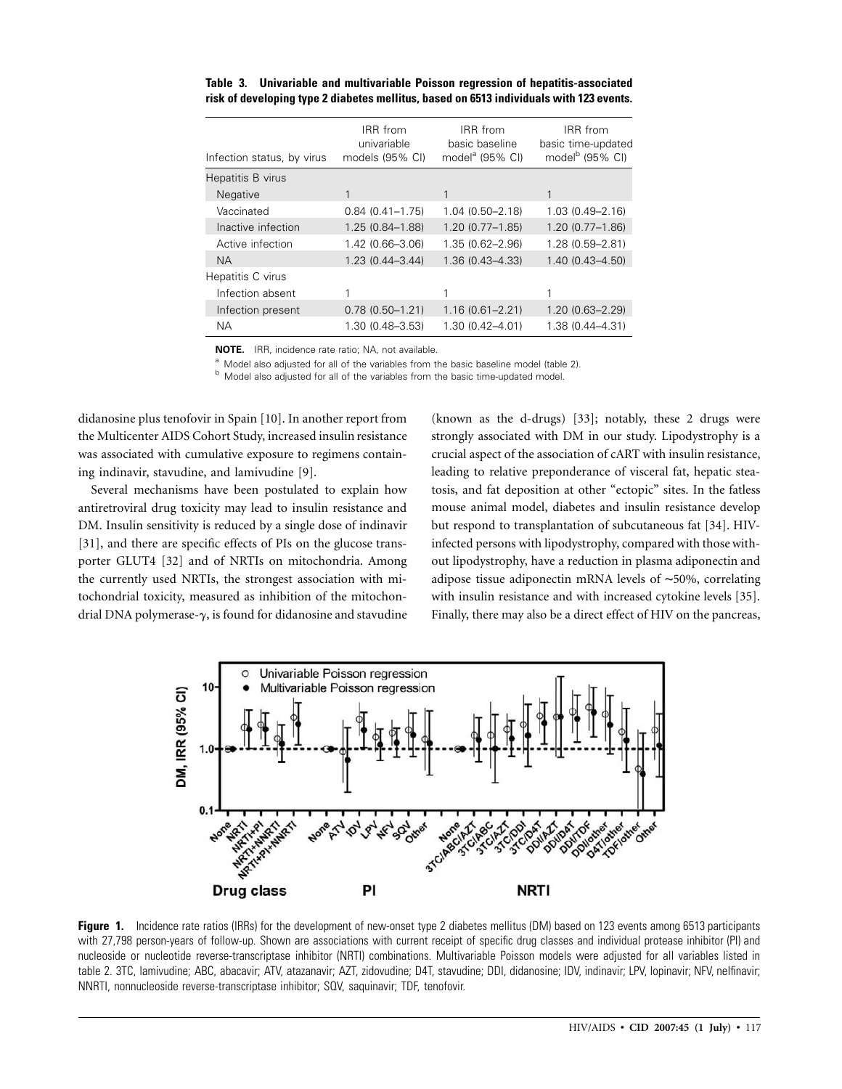| Infection status, by virus | IRR from<br>univariable<br>models (95% CI) | IRR from<br>basic baseline<br>model <sup>a</sup> (95% CI) | IRR from<br>basic time-updated<br>model <sup>b</sup> (95% CI) |
|----------------------------|--------------------------------------------|-----------------------------------------------------------|---------------------------------------------------------------|
| Hepatitis B virus          |                                            |                                                           |                                                               |
| <b>Negative</b>            |                                            |                                                           |                                                               |
| Vaccinated                 | $0.84(0.41 - 1.75)$                        | $1.04(0.50 - 2.18)$                                       | $1.03(0.49 - 2.16)$                                           |
| Inactive infection         | 1.25 (0.84-1.88)                           | $1.20(0.77 - 1.85)$                                       | $1.20(0.77 - 1.86)$                                           |
| Active infection           | 1.42 (0.66-3.06)                           | 1.35 (0.62-2.96)                                          | 1.28 (0.59-2.81)                                              |
| <b>NA</b>                  | $1.23(0.44 - 3.44)$                        | 1.36 (0.43-4.33)                                          | $1.40(0.43 - 4.50)$                                           |
| Hepatitis C virus          |                                            |                                                           |                                                               |
| Infection absent           |                                            |                                                           |                                                               |
| Infection present          | $0.78(0.50 - 1.21)$                        | $1.16(0.61 - 2.21)$                                       | $1.20(0.63 - 2.29)$                                           |
| <b>NA</b>                  | 1.30 (0.48-3.53)                           | 1.30 (0.42-4.01)                                          | 1.38 (0.44-4.31)                                              |

**Table 3. Univariable and multivariable Poisson regression of hepatitis-associated risk of developing type 2 diabetes mellitus, based on 6513 individuals with 123 events.**

**NOTE.** IRR, incidence rate ratio; NA, not available.

<sup>a</sup> Model also adjusted for all of the variables from the basic baseline model (table 2). **b** Model also adjusted for all of the variables from the basic time-updated model.

didanosine plus tenofovir in Spain [10]. In another report from the Multicenter AIDS Cohort Study, increased insulin resistance was associated with cumulative exposure to regimens containing indinavir, stavudine, and lamivudine [9].

Several mechanisms have been postulated to explain how antiretroviral drug toxicity may lead to insulin resistance and DM. Insulin sensitivity is reduced by a single dose of indinavir [31], and there are specific effects of PIs on the glucose transporter GLUT4 [32] and of NRTIs on mitochondria. Among the currently used NRTIs, the strongest association with mitochondrial toxicity, measured as inhibition of the mitochondrial DNA polymerase- $\gamma$ , is found for didanosine and stavudine

(known as the d-drugs) [33]; notably, these 2 drugs were strongly associated with DM in our study. Lipodystrophy is a crucial aspect of the association of cART with insulin resistance, leading to relative preponderance of visceral fat, hepatic steatosis, and fat deposition at other "ectopic" sites. In the fatless mouse animal model, diabetes and insulin resistance develop but respond to transplantation of subcutaneous fat [34]. HIVinfected persons with lipodystrophy, compared with those without lipodystrophy, have a reduction in plasma adiponectin and adipose tissue adiponectin mRNA levels of ∼50%, correlating with insulin resistance and with increased cytokine levels [35]. Finally, there may also be a direct effect of HIV on the pancreas,



**Figure 1.** Incidence rate ratios (IRRs) for the development of new-onset type 2 diabetes mellitus (DM) based on 123 events among 6513 participants with 27,798 person-years of follow-up. Shown are associations with current receipt of specific drug classes and individual protease inhibitor (PI) and nucleoside or nucleotide reverse-transcriptase inhibitor (NRTI) combinations. Multivariable Poisson models were adjusted for all variables listed in table 2. 3TC, lamivudine; ABC, abacavir; ATV, atazanavir; AZT, zidovudine; D4T, stavudine; DDI, didanosine; IDV, indinavir; LPV, lopinavir; NFV, nelfinavir; NNRTI, nonnucleoside reverse-transcriptase inhibitor; SQV, saquinavir; TDF, tenofovir.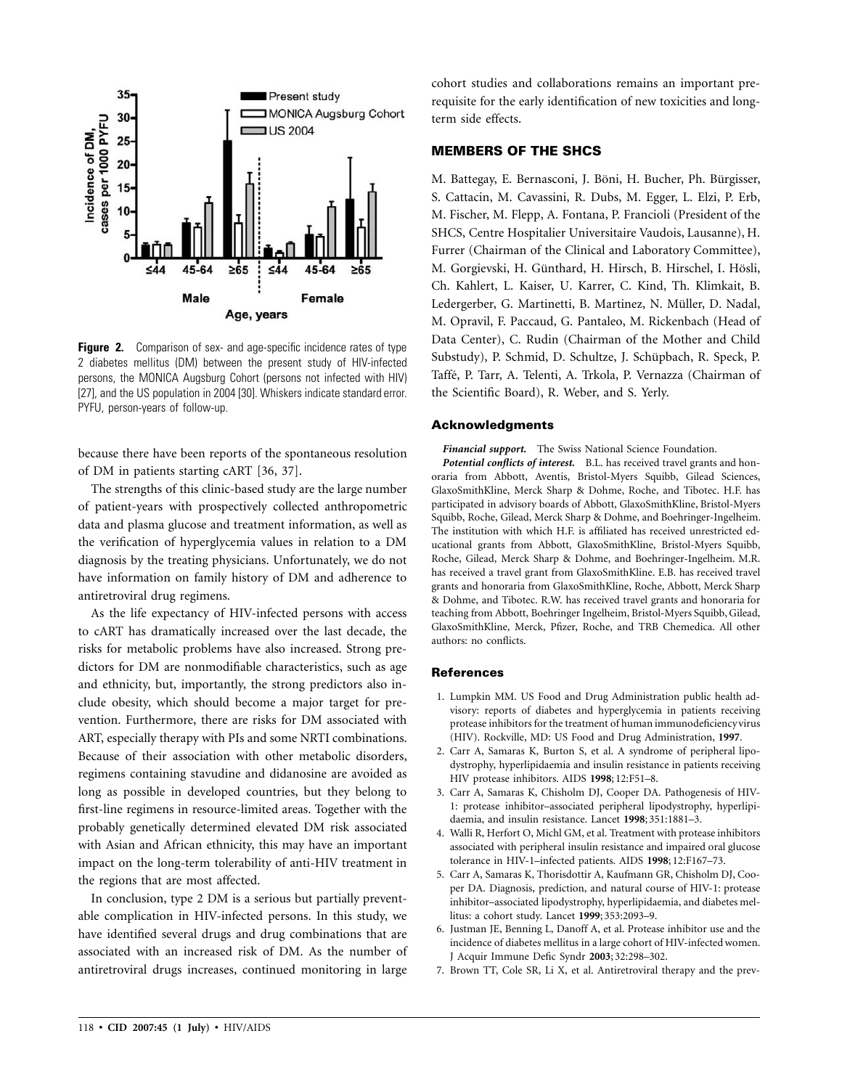

**Figure 2.** Comparison of sex- and age-specific incidence rates of type 2 diabetes mellitus (DM) between the present study of HIV-infected persons, the MONICA Augsburg Cohort (persons not infected with HIV) [27], and the US population in 2004 [30]. Whiskers indicate standard error. PYFU, person-years of follow-up.

because there have been reports of the spontaneous resolution of DM in patients starting cART [36, 37].

The strengths of this clinic-based study are the large number of patient-years with prospectively collected anthropometric data and plasma glucose and treatment information, as well as the verification of hyperglycemia values in relation to a DM diagnosis by the treating physicians. Unfortunately, we do not have information on family history of DM and adherence to antiretroviral drug regimens.

As the life expectancy of HIV-infected persons with access to cART has dramatically increased over the last decade, the risks for metabolic problems have also increased. Strong predictors for DM are nonmodifiable characteristics, such as age and ethnicity, but, importantly, the strong predictors also include obesity, which should become a major target for prevention. Furthermore, there are risks for DM associated with ART, especially therapy with PIs and some NRTI combinations. Because of their association with other metabolic disorders, regimens containing stavudine and didanosine are avoided as long as possible in developed countries, but they belong to first-line regimens in resource-limited areas. Together with the probably genetically determined elevated DM risk associated with Asian and African ethnicity, this may have an important impact on the long-term tolerability of anti-HIV treatment in the regions that are most affected.

In conclusion, type 2 DM is a serious but partially preventable complication in HIV-infected persons. In this study, we have identified several drugs and drug combinations that are associated with an increased risk of DM. As the number of antiretroviral drugs increases, continued monitoring in large cohort studies and collaborations remains an important prerequisite for the early identification of new toxicities and longterm side effects.

## **MEMBERS OF THE SHCS**

M. Battegay, E. Bernasconi, J. Böni, H. Bucher, Ph. Bürgisser, S. Cattacin, M. Cavassini, R. Dubs, M. Egger, L. Elzi, P. Erb, M. Fischer, M. Flepp, A. Fontana, P. Francioli (President of the SHCS, Centre Hospitalier Universitaire Vaudois, Lausanne), H. Furrer (Chairman of the Clinical and Laboratory Committee), M. Gorgievski, H. Günthard, H. Hirsch, B. Hirschel, I. Hösli, Ch. Kahlert, L. Kaiser, U. Karrer, C. Kind, Th. Klimkait, B. Ledergerber, G. Martinetti, B. Martinez, N. Müller, D. Nadal, M. Opravil, F. Paccaud, G. Pantaleo, M. Rickenbach (Head of Data Center), C. Rudin (Chairman of the Mother and Child Substudy), P. Schmid, D. Schultze, J. Schüpbach, R. Speck, P. Taffé, P. Tarr, A. Telenti, A. Trkola, P. Vernazza (Chairman of the Scientific Board), R. Weber, and S. Yerly.

### **Acknowledgments**

*Financial support.* The Swiss National Science Foundation.

*Potential conflicts of interest.* B.L. has received travel grants and honoraria from Abbott, Aventis, Bristol-Myers Squibb, Gilead Sciences, GlaxoSmithKline, Merck Sharp & Dohme, Roche, and Tibotec. H.F. has participated in advisory boards of Abbott, GlaxoSmithKline, Bristol-Myers Squibb, Roche, Gilead, Merck Sharp & Dohme, and Boehringer-Ingelheim. The institution with which H.F. is affiliated has received unrestricted educational grants from Abbott, GlaxoSmithKline, Bristol-Myers Squibb, Roche, Gilead, Merck Sharp & Dohme, and Boehringer-Ingelheim. M.R. has received a travel grant from GlaxoSmithKline. E.B. has received travel grants and honoraria from GlaxoSmithKline, Roche, Abbott, Merck Sharp & Dohme, and Tibotec. R.W. has received travel grants and honoraria for teaching from Abbott, Boehringer Ingelheim, Bristol-Myers Squibb, Gilead, GlaxoSmithKline, Merck, Pfizer, Roche, and TRB Chemedica. All other authors: no conflicts.

### **References**

- 1. Lumpkin MM. US Food and Drug Administration public health advisory: reports of diabetes and hyperglycemia in patients receiving protease inhibitors for the treatment of human immunodeficiency virus (HIV). Rockville, MD: US Food and Drug Administration, **1997**.
- 2. Carr A, Samaras K, Burton S, et al. A syndrome of peripheral lipodystrophy, hyperlipidaemia and insulin resistance in patients receiving HIV protease inhibitors. AIDS **1998**; 12:F51–8.
- 3. Carr A, Samaras K, Chisholm DJ, Cooper DA. Pathogenesis of HIV-1: protease inhibitor–associated peripheral lipodystrophy, hyperlipidaemia, and insulin resistance. Lancet **1998**; 351:1881–3.
- 4. Walli R, Herfort O, Michl GM, et al. Treatment with protease inhibitors associated with peripheral insulin resistance and impaired oral glucose tolerance in HIV-1–infected patients. AIDS **1998**; 12:F167–73.
- 5. Carr A, Samaras K, Thorisdottir A, Kaufmann GR, Chisholm DJ, Cooper DA. Diagnosis, prediction, and natural course of HIV-1: protease inhibitor–associated lipodystrophy, hyperlipidaemia, and diabetes mellitus: a cohort study. Lancet **1999**; 353:2093–9.
- 6. Justman JE, Benning L, Danoff A, et al. Protease inhibitor use and the incidence of diabetes mellitus in a large cohort of HIV-infected women. J Acquir Immune Defic Syndr **2003**; 32:298–302.
- 7. Brown TT, Cole SR, Li X, et al. Antiretroviral therapy and the prev-